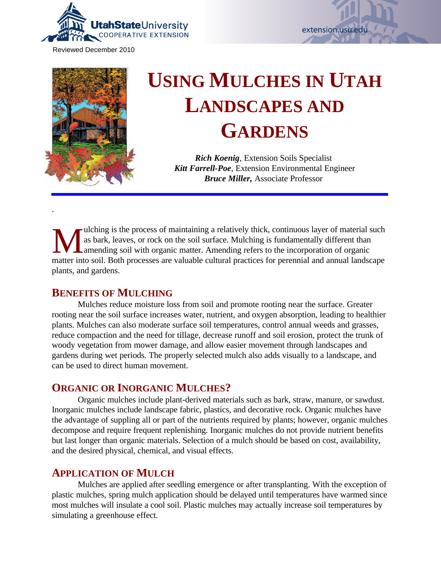

Reviewed December 2010





.

# **USING MULCHES IN UTAH LANDSCAPES AND GARDENS**

*Rich Koenig,* Extension Soils Specialist *Kitt Farrell-Poe*, Extension Environmental Engineer *Bruce Miller,* Associate Professor

W as bark, leaves, or rock on the soil surface. Mulching is fundamentally different than amending soil with organic matter. Amending refers to the incorporation of organic matter into soil. Both processes are valuable cult ulching is the process of maintaining a relatively thick, continuous layer of material such as bark, leaves, or rock on the soil surface. Mulching is fundamentally different than amending soil with organic matter. Amending refers to the incorporation of organic plants, and gardens.

### **BENEFITS OF MULCHING**

Mulches reduce moisture loss from soil and promote rooting near the surface. Greater rooting near the soil surface increases water, nutrient, and oxygen absorption, leading to healthier plants. Mulches can also moderate surface soil temperatures, control annual weeds and grasses, reduce compaction and the need for tillage, decrease runoff and soil erosion, protect the trunk of woody vegetation from mower damage, and allow easier movement through landscapes and gardens during wet periods. The properly selected mulch also adds visually to a landscape, and can be used to direct human movement.

### **ORGANIC OR INORGANIC MULCHES?**

Organic mulches include plant-derived materials such as bark, straw, manure, or sawdust. Inorganic mulches include landscape fabric, plastics, and decorative rock. Organic mulches have the advantage of suppling all or part of the nutrients required by plants; however, organic mulches decompose and require frequent replenishing. Inorganic mulches do not provide nutrient benefits but last longer than organic materials. Selection of a mulch should be based on cost, availability, and the desired physical, chemical, and visual effects.

### **APPLICATION OF MULCH**

Mulches are applied after seedling emergence or after transplanting. With the exception of plastic mulches, spring mulch application should be delayed until temperatures have warmed since most mulches will insulate a cool soil. Plastic mulches may actually increase soil temperatures by simulating a greenhouse effect.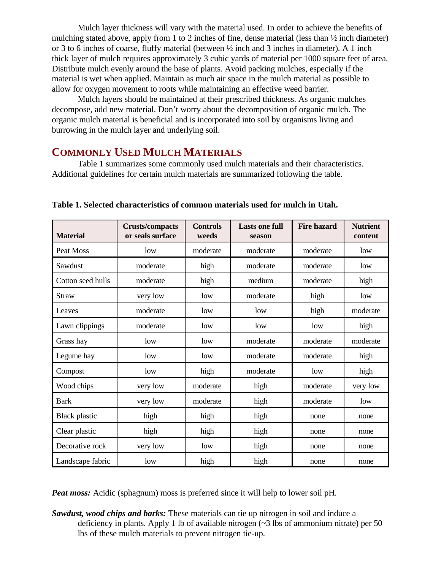Mulch layer thickness will vary with the material used. In order to achieve the benefits of mulching stated above, apply from 1 to 2 inches of fine, dense material (less than ½ inch diameter) or 3 to 6 inches of coarse, fluffy material (between  $\frac{1}{2}$  inch and 3 inches in diameter). A 1 inch thick layer of mulch requires approximately 3 cubic yards of material per 1000 square feet of area. Distribute mulch evenly around the base of plants. Avoid packing mulches, especially if the material is wet when applied. Maintain as much air space in the mulch material as possible to allow for oxygen movement to roots while maintaining an effective weed barrier.

Mulch layers should be maintained at their prescribed thickness. As organic mulches decompose, add new material. Don't worry about the decomposition of organic mulch. The organic mulch material is beneficial and is incorporated into soil by organisms living and burrowing in the mulch layer and underlying soil.

## **COMMONLY USED MULCH MATERIALS**

Table 1 summarizes some commonly used mulch materials and their characteristics. Additional guidelines for certain mulch materials are summarized following the table.

| <b>Material</b>      | <b>Crusts/compacts</b><br>or seals surface | <b>Controls</b><br>weeds | <b>Lasts one full</b><br>season | <b>Fire hazard</b> | <b>Nutrient</b><br>content |
|----------------------|--------------------------------------------|--------------------------|---------------------------------|--------------------|----------------------------|
| Peat Moss            | low                                        | moderate                 | moderate                        | moderate           | low                        |
| Sawdust              | moderate                                   | high                     | moderate                        | moderate           | low                        |
| Cotton seed hulls    | moderate                                   | high                     | medium                          | moderate           | high                       |
| <b>Straw</b>         | very low                                   | low                      | moderate                        | high               | low                        |
| Leaves               | moderate                                   | low                      | low                             | high               | moderate                   |
| Lawn clippings       | moderate                                   | low                      | low                             | low                | high                       |
| Grass hay            | low                                        | low                      | moderate                        | moderate           | moderate                   |
| Legume hay           | low                                        | low                      | moderate                        | moderate           | high                       |
| Compost              | low                                        | high                     | moderate                        | low                | high                       |
| Wood chips           | very low                                   | moderate                 | high                            | moderate           | very low                   |
| <b>Bark</b>          | very low                                   | moderate                 | high                            | moderate           | low                        |
| <b>Black plastic</b> | high                                       | high                     | high                            | none               | none                       |
| Clear plastic        | high                                       | high                     | high                            | none               | none                       |
| Decorative rock      | very low                                   | low                      | high                            | none               | none                       |
| Landscape fabric     | low                                        | high                     | high                            | none               | none                       |

**Table 1. Selected characteristics of common materials used for mulch in Utah.**

*Peat moss:* Acidic (sphagnum) moss is preferred since it will help to lower soil pH.

*Sawdust, wood chips and barks:* These materials can tie up nitrogen in soil and induce a deficiency in plants. Apply 1 lb of available nitrogen  $(\sim 3 \text{ lbs of ammonium nitrate})$  per 50 lbs of these mulch materials to prevent nitrogen tie-up.